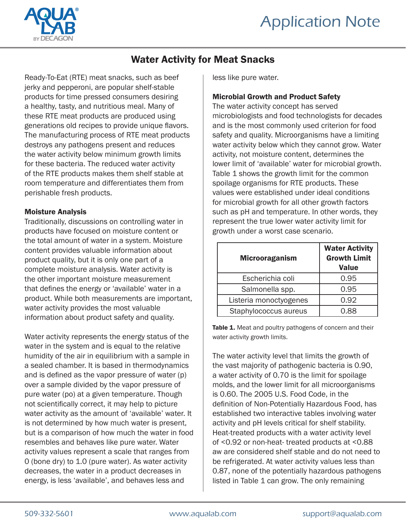

# Water Activity for Meat Snacks

Ready-To-Eat (RTE) meat snacks, such as beef jerky and pepperoni, are popular shelf-stable products for time pressed consumers desiring a healthy, tasty, and nutritious meal. Many of these RTE meat products are produced using generations old recipes to provide unique flavors. The manufacturing process of RTE meat products destroys any pathogens present and reduces the water activity below minimum growth limits for these bacteria. The reduced water activity of the RTE products makes them shelf stable at room temperature and differentiates them from perishable fresh products.

### Moisture Analysis

Traditionally, discussions on controlling water in products have focused on moisture content or the total amount of water in a system. Moisture content provides valuable information about product quality, but it is only one part of a complete moisture analysis. Water activity is the other important moisture measurement that defines the energy or 'available' water in a product. While both measurements are important, water activity provides the most valuable information about product safety and quality.

Water activity represents the energy status of the water in the system and is equal to the relative humidity of the air in equilibrium with a sample in a sealed chamber. It is based in thermodynamics and is defined as the vapor pressure of water (p) over a sample divided by the vapor pressure of pure water (po) at a given temperature. Though not scientifically correct, it may help to picture water activity as the amount of 'available' water. It is not determined by how much water is present, but is a comparison of how much the water in food resembles and behaves like pure water. Water activity values represent a scale that ranges from 0 (bone dry) to 1.0 (pure water). As water activity decreases, the water in a product decreases in energy, is less 'available', and behaves less and

less like pure water.

## Microbial Growth and Product Safety

The water activity concept has served microbiologists and food technologists for decades and is the most commonly used criterion for food safety and quality. Microorganisms have a limiting water activity below which they cannot grow. Water activity, not moisture content, determines the lower limit of 'available' water for microbial growth. Table 1 shows the growth limit for the common spoilage organisms for RTE products. These values were established under ideal conditions for microbial growth for all other growth factors such as pH and temperature. In other words, they represent the true lower water activity limit for growth under a worst case scenario.

| <b>Microoraganism</b>  | <b>Water Activity</b><br><b>Growth Limit</b><br><b>Value</b> |
|------------------------|--------------------------------------------------------------|
| Escherichia coli       | 0.95                                                         |
| Salmonella spp.        | 0.95                                                         |
| Listeria monoctyogenes | 0.92                                                         |
| Staphylococcus aureus  | 0 88                                                         |

Table 1. Meat and poultry pathogens of concern and their water activity growth limits.

The water activity level that limits the growth of the vast majority of pathogenic bacteria is 0.90, a water activity of 0.70 is the limit for spoilage molds, and the lower limit for all microorganisms is 0.60. The 2005 U.S. Food Code, in the definition of Non-Potentially Hazardous Food, has established two interactive tables involving water activity and pH levels critical for shelf stability. Heat-treated products with a water activity level of <0.92 or non-heat- treated products at <0.88 aw are considered shelf stable and do not need to be refrigerated. At water activity values less than 0.87, none of the potentially hazardous pathogens listed in Table 1 can grow. The only remaining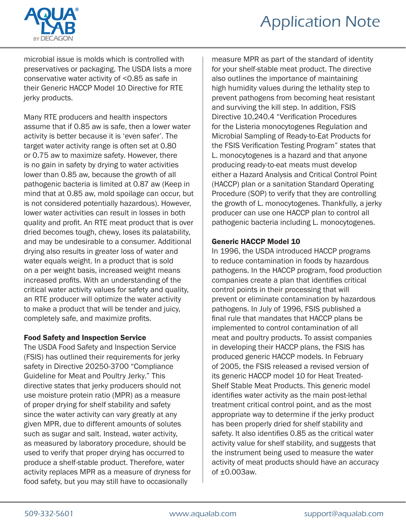# Application Note



microbial issue is molds which is controlled with preservatives or packaging. The USDA lists a more conservative water activity of <0.85 as safe in their Generic HACCP Model 10 Directive for RTE jerky products.

Many RTE producers and health inspectors assume that if 0.85 aw is safe, then a lower water activity is better because it is 'even safer'. The target water activity range is often set at 0.80 or 0.75 aw to maximize safety. However, there is no gain in safety by drying to water activities lower than 0.85 aw, because the growth of all pathogenic bacteria is limited at 0.87 aw (Keep in mind that at 0.85 aw, mold spoilage can occur, but is not considered potentially hazardous). However, lower water activities can result in losses in both quality and profit. An RTE meat product that is over dried becomes tough, chewy, loses its palatability, and may be undesirable to a consumer. Additional drying also results in greater loss of water and water equals weight. In a product that is sold on a per weight basis, increased weight means increased profits. With an understanding of the critical water activity values for safety and quality, an RTE producer will optimize the water activity to make a product that will be tender and juicy, completely safe, and maximize profits.

# Food Safety and Inspection Service

The USDA Food Safety and Inspection Service (FSIS) has outlined their requirements for jerky safety in Directive 20250-3700 "Compliance Guideline for Meat and Poultry Jerky." This directive states that jerky producers should not use moisture protein ratio (MPR) as a measure of proper drying for shelf stability and safety since the water activity can vary greatly at any given MPR, due to different amounts of solutes such as sugar and salt. Instead, water activity, as measured by laboratory procedure, should be used to verify that proper drying has occurred to produce a shelf-stable product. Therefore, water activity replaces MPR as a measure of dryness for food safety, but you may still have to occasionally

measure MPR as part of the standard of identity for your shelf-stable meat product. The directive also outlines the importance of maintaining high humidity values during the lethality step to prevent pathogens from becoming heat resistant and surviving the kill step. In addition, FSIS Directive 10,240.4 "Verification Procedures for the Listeria monocytogenes Regulation and Microbial Sampling of Ready-to-Eat Products for the FSIS Verification Testing Program" states that L. monocytogenes is a hazard and that anyone producing ready-to-eat meats must develop either a Hazard Analysis and Critical Control Point (HACCP) plan or a sanitation Standard Operating Procedure (SOP) to verify that they are controlling the growth of L. monocytogenes. Thankfully, a jerky producer can use one HACCP plan to control all pathogenic bacteria including L. monocytogenes.

# Generic HACCP Model 10

In 1996, the USDA introduced HACCP programs to reduce contamination in foods by hazardous pathogens. In the HACCP program, food production companies create a plan that identifies critical control points in their processing that will prevent or eliminate contamination by hazardous pathogens. In July of 1996, FSIS published a final rule that mandates that HACCP plans be implemented to control contamination of all meat and poultry products. To assist companies in developing their HACCP plans, the FSIS has produced generic HACCP models. In February of 2005, the FSIS released a revised version of its generic HACCP model 10 for Heat Treated-Shelf Stable Meat Products. This generic model identifies water activity as the main post-lethal treatment critical control point, and as the most appropriate way to determine if the jerky product has been properly dried for shelf stability and safety. It also identifies 0.85 as the critical water activity value for shelf stability, and suggests that the instrument being used to measure the water activity of meat products should have an accuracy of ±0.003aw.